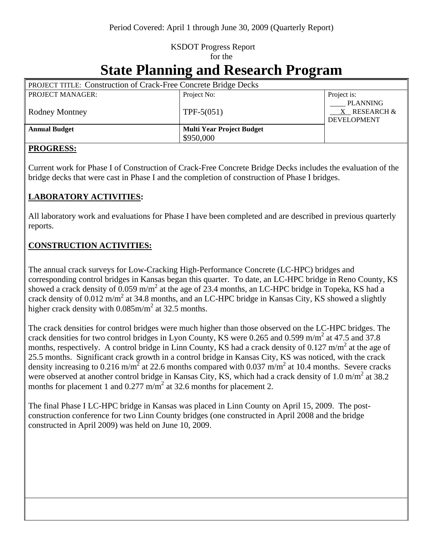## KSDOT Progress Report for the

# **State Planning and Research Program**

| <b>PROJECT TITLE: Construction of Crack-Free Concrete Bridge Decks</b> |                                  |                                                            |
|------------------------------------------------------------------------|----------------------------------|------------------------------------------------------------|
| <b>PROJECT MANAGER:</b>                                                | Project No:                      | Project is:                                                |
| <b>Rodney Montney</b>                                                  | $TPF-5(051)$                     | <b>PLANNING</b><br>$X$ RESEARCH $\&$<br><b>DEVELOPMENT</b> |
| <b>Annual Budget</b>                                                   | <b>Multi Year Project Budget</b> |                                                            |
|                                                                        | \$950,000                        |                                                            |

#### **PROGRESS:**

Current work for Phase I of Construction of Crack-Free Concrete Bridge Decks includes the evaluation of the bridge decks that were cast in Phase I and the completion of construction of Phase I bridges.

#### **LABORATORY ACTIVITIES:**

All laboratory work and evaluations for Phase I have been completed and are described in previous quarterly reports.

#### **CONSTRUCTION ACTIVITIES:**

The annual crack surveys for Low-Cracking High-Performance Concrete (LC-HPC) bridges and corresponding control bridges in Kansas began this quarter. To date, an LC-HPC bridge in Reno County, KS showed a crack density of  $0.059 \text{ m/m}^2$  at the age of 23.4 months, an LC-HPC bridge in Topeka, KS had a crack density of  $0.012 \text{ m/m}^2$  at 34.8 months, and an LC-HPC bridge in Kansas City, KS showed a slightly higher crack density with  $0.085$ m/m<sup>2</sup> at 32.5 months.

The crack densities for control bridges were much higher than those observed on the LC-HPC bridges. The crack densities for two control bridges in Lyon County, KS were 0.265 and 0.599 m/m<sup>2</sup> at 47.5 and 37.8 months, respectively. A control bridge in Linn County, KS had a crack density of 0.127 m/m<sup>2</sup> at the age of 25.5 months. Significant crack growth in a control bridge in Kansas City, KS was noticed, with the crack density increasing to 0.216 m/m<sup>2</sup> at 22.6 months compared with 0.037 m/m<sup>2</sup> at 10.4 months. Severe cracks were observed at another control bridge in Kansas City, KS, which had a crack density of 1.0 m/m<sup>2</sup> at 38.2 months for placement 1 and  $0.277 \text{ m/m}^2$  at 32.6 months for placement 2.

The final Phase I LC-HPC bridge in Kansas was placed in Linn County on April 15, 2009. The postconstruction conference for two Linn County bridges (one constructed in April 2008 and the bridge constructed in April 2009) was held on June 10, 2009.